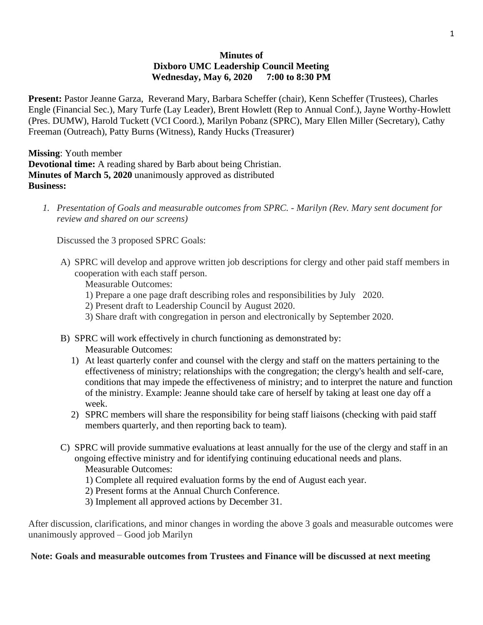### **Minutes of Dixboro UMC Leadership Council Meeting Wednesday, May 6, 2020 7:00 to 8:30 PM**

**Present:** Pastor Jeanne Garza, Reverand Mary, Barbara Scheffer (chair), Kenn Scheffer (Trustees), Charles Engle (Financial Sec.), Mary Turfe (Lay Leader), Brent Howlett (Rep to Annual Conf.), Jayne Worthy-Howlett (Pres. DUMW), Harold Tuckett (VCI Coord.), Marilyn Pobanz (SPRC), Mary Ellen Miller (Secretary), Cathy Freeman (Outreach), Patty Burns (Witness), Randy Hucks (Treasurer)

**Missing**: Youth member **Devotional time:** A reading shared by Barb about being Christian. **Minutes of March 5, 2020** unanimously approved as distributed **Business:**

*1. Presentation of Goals and measurable outcomes from SPRC. - Marilyn (Rev. Mary sent document for review and shared on our screens)*

Discussed the 3 proposed SPRC Goals:

A) SPRC will develop and approve written job descriptions for clergy and other paid staff members in cooperation with each staff person.

Measurable Outcomes:

- 1) Prepare a one page draft describing roles and responsibilities by July 2020.
- 2) Present draft to Leadership Council by August 2020.
- 3) Share draft with congregation in person and electronically by September 2020.
- B) SPRC will work effectively in church functioning as demonstrated by: Measurable Outcomes:
	- 1) At least quarterly confer and counsel with the clergy and staff on the matters pertaining to the effectiveness of ministry; relationships with the congregation; the clergy's health and self-care, conditions that may impede the effectiveness of ministry; and to interpret the nature and function of the ministry. Example: Jeanne should take care of herself by taking at least one day off a week.
	- 2) SPRC members will share the responsibility for being staff liaisons (checking with paid staff members quarterly, and then reporting back to team).
- C) SPRC will provide summative evaluations at least annually for the use of the clergy and staff in an ongoing effective ministry and for identifying continuing educational needs and plans.

Measurable Outcomes:

- 1) Complete all required evaluation forms by the end of August each year.
- 2) Present forms at the Annual Church Conference.
- 3) Implement all approved actions by December 31.

After discussion, clarifications, and minor changes in wording the above 3 goals and measurable outcomes were unanimously approved – Good job Marilyn

### **Note: Goals and measurable outcomes from Trustees and Finance will be discussed at next meeting**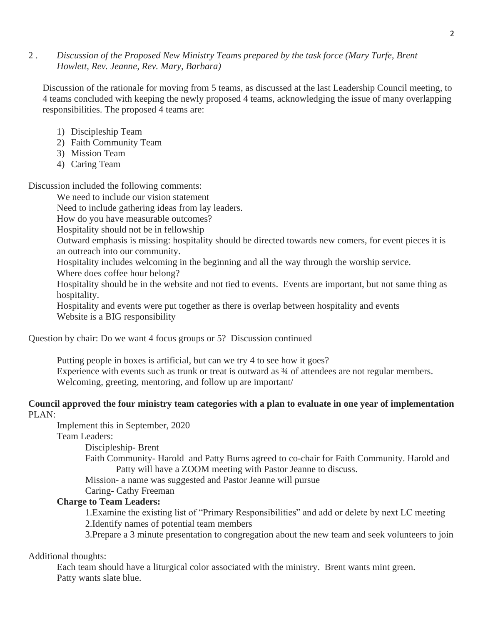### 2 . *Discussion of the Proposed New Ministry Teams prepared by the task force (Mary Turfe, Brent Howlett, Rev. Jeanne, Rev. Mary, Barbara)*

Discussion of the rationale for moving from 5 teams, as discussed at the last Leadership Council meeting, to 4 teams concluded with keeping the newly proposed 4 teams, acknowledging the issue of many overlapping responsibilities. The proposed 4 teams are:

- 1) Discipleship Team
- 2) Faith Community Team
- 3) Mission Team
- 4) Caring Team

Discussion included the following comments:

We need to include our vision statement

Need to include gathering ideas from lay leaders.

How do you have measurable outcomes?

Hospitality should not be in fellowship

Outward emphasis is missing: hospitality should be directed towards new comers, for event pieces it is an outreach into our community.

Hospitality includes welcoming in the beginning and all the way through the worship service.

Where does coffee hour belong?

Hospitality should be in the website and not tied to events. Events are important, but not same thing as hospitality.

Hospitality and events were put together as there is overlap between hospitality and events Website is a BIG responsibility

Question by chair: Do we want 4 focus groups or 5? Discussion continued

Putting people in boxes is artificial, but can we try 4 to see how it goes? Experience with events such as trunk or treat is outward as  $\frac{3}{4}$  of attendees are not regular members. Welcoming, greeting, mentoring, and follow up are important/

# **Council approved the four ministry team categories with a plan to evaluate in one year of implementation**  PLAN:

Implement this in September, 2020

Team Leaders:

Discipleship- Brent

Faith Community- Harold and Patty Burns agreed to co-chair for Faith Community. Harold and Patty will have a ZOOM meeting with Pastor Jeanne to discuss.

Mission- a name was suggested and Pastor Jeanne will pursue

Caring- Cathy Freeman

# **Charge to Team Leaders:**

1.Examine the existing list of "Primary Responsibilities" and add or delete by next LC meeting 2.Identify names of potential team members

3.Prepare a 3 minute presentation to congregation about the new team and seek volunteers to join

Additional thoughts:

Each team should have a liturgical color associated with the ministry. Brent wants mint green. Patty wants slate blue.